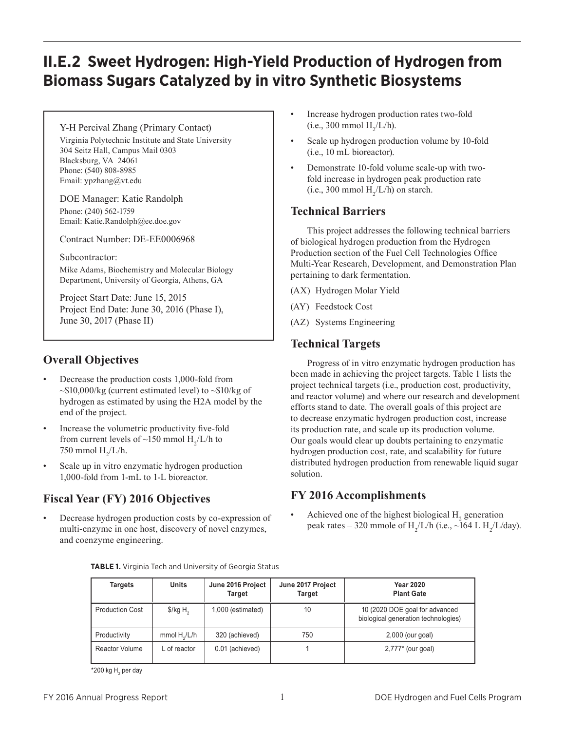# **II.E.2 Sweet Hydrogen: High-Yield Production of Hydrogen from Biomass Sugars Catalyzed by in vitro Synthetic Biosystems**

Y-H Percival Zhang (Primary Contact) Virginia Polytechnic Institute and State University 304 Seitz Hall, Campus Mail 0303 Blacksburg, VA 24061 Phone: (540) 808-8985 Email: ypzhang@vt.edu

DOE Manager: Katie Randolph Phone: (240) 562-1759 Email: Katie.Randolph@ee.doe.gov

Contract Number: DE-EE0006968

Subcontractor:

Mike Adams, Biochemistry and Molecular Biology Department, University of Georgia, Athens, GA

Project Start Date: June 15, 2015 Project End Date: June 30, 2016 (Phase I), June 30, 2017 (Phase II)

# **Overall Objectives**

- Decrease the production costs 1,000-fold from  $\sim$ \$10,000/kg (current estimated level) to  $\sim$ \$10/kg of hydrogen as estimated by using the H2A model by the end of the project.
- Increase the volumetric productivity five-fold from current levels of ~150 mmol  $H_2/L/h$  to 750 mmol  $H_2/L/h$ .
- Scale up in vitro enzymatic hydrogen production 1,000-fold from 1-mL to 1-L bioreactor.

# **Fiscal Year (FY) 2016 Objectives**

Decrease hydrogen production costs by co-expression of multi-enzyme in one host, discovery of novel enzymes, and coenzyme engineering.

**TABLE 1.** Virginia Tech and University of Georgia Status

- Increase hydrogen production rates two-fold (i.e., 300 mmol  $H_2/L/h$ ).
- Scale up hydrogen production volume by 10-fold (i.e., 10 mL bioreactor).
- Demonstrate 10-fold volume scale-up with twofold increase in hydrogen peak production rate (i.e., 300 mmol  $H_2/L/h$ ) on starch.

### **Technical Barriers**

This project addresses the following technical barriers of biological hydrogen production from the Hydrogen Production section of the Fuel Cell Technologies Office Multi-Year Research, Development, and Demonstration Plan pertaining to dark fermentation.

(AX) Hydrogen Molar Yield

- (AY) Feedstock Cost
- (AZ) Systems Engineering

## **Technical Targets**

Progress of in vitro enzymatic hydrogen production has been made in achieving the project targets. Table 1 lists the project technical targets (i.e., production cost, productivity, and reactor volume) and where our research and development efforts stand to date. The overall goals of this project are to decrease enzymatic hydrogen production cost, increase its production rate, and scale up its production volume. Our goals would clear up doubts pertaining to enzymatic hydrogen production cost, rate, and scalability for future distributed hydrogen production from renewable liquid sugar solution.

## **FY 2016 Accomplishments**

• Achieved one of the highest biological  $H_2$  generation peak rates – 320 mmole of H<sub>2</sub>/L/h (i.e., ~164 L H<sub>2</sub>/L/day).

| <b>Targets</b>         | <b>Units</b>        | June 2016 Project<br>Target | June 2017 Project<br><b>Target</b> | <b>Year 2020</b><br><b>Plant Gate</b>                                 |
|------------------------|---------------------|-----------------------------|------------------------------------|-----------------------------------------------------------------------|
| <b>Production Cost</b> | $\frac{1}{2}$ /kg H | 1,000 (estimated)           | 10                                 | 10 (2020 DOE goal for advanced<br>biological generation technologies) |
| Productivity           | mmol $H_2/L/h$      | 320 (achieved)              | 750                                | 2,000 (our goal)                                                      |
| Reactor Volume         | L of reactor        | 0.01 (achieved)             |                                    | $2,777*$ (our goal)                                                   |

 $^*$ 200 kg H $_{\rm_2}$  per day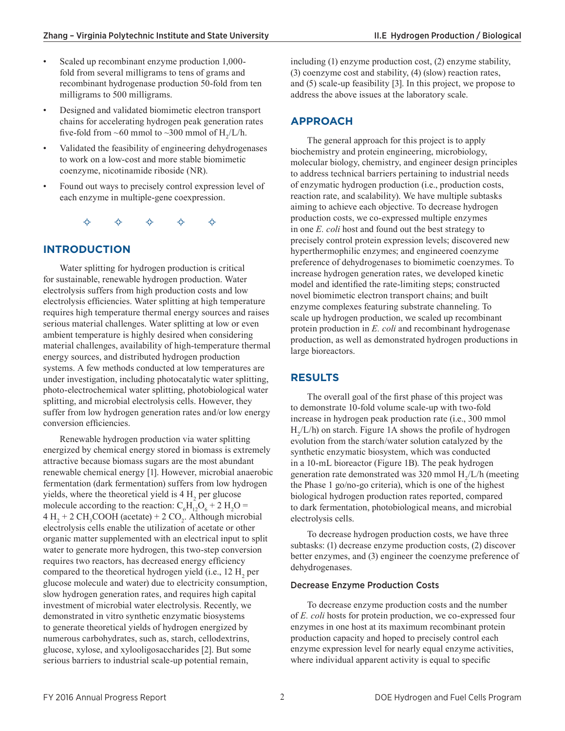- Scaled up recombinant enzyme production 1,000fold from several milligrams to tens of grams and recombinant hydrogenase production 50-fold from ten milligrams to 500 milligrams.
- Designed and validated biomimetic electron transport chains for accelerating hydrogen peak generation rates five-fold from ~60 mmol to ~300 mmol of  $H_2/L/h$ .
- Validated the feasibility of engineering dehydrogenases to work on a low-cost and more stable biomimetic coenzyme, nicotinamide riboside (NR).
- Found out ways to precisely control expression level of each enzyme in multiple-gene coexpression.

 $\begin{array}{ccccc} \diamond & \diamond & \diamond & \diamond & \diamond & \diamond & \end{array}$ 

#### **INTRODUCTION**

Water splitting for hydrogen production is critical for sustainable, renewable hydrogen production. Water electrolysis suffers from high production costs and low electrolysis efficiencies. Water splitting at high temperature requires high temperature thermal energy sources and raises serious material challenges. Water splitting at low or even ambient temperature is highly desired when considering material challenges, availability of high-temperature thermal energy sources, and distributed hydrogen production systems. A few methods conducted at low temperatures are under investigation, including photocatalytic water splitting, photo-electrochemical water splitting, photobiological water splitting, and microbial electrolysis cells. However, they suffer from low hydrogen generation rates and/or low energy conversion efficiencies.

Renewable hydrogen production via water splitting energized by chemical energy stored in biomass is extremely attractive because biomass sugars are the most abundant renewable chemical energy [1]. However, microbial anaerobic fermentation (dark fermentation) suffers from low hydrogen yields, where the theoretical yield is  $4 H<sub>2</sub>$  per glucose molecule according to the reaction:  $C_6H_{12}O_6 + 2H_2O =$  $4 H<sub>2</sub> + 2 CH<sub>3</sub>COOH (acetate) + 2 CO<sub>2</sub>. Although microbial$ electrolysis cells enable the utilization of acetate or other organic matter supplemented with an electrical input to split water to generate more hydrogen, this two-step conversion requires two reactors, has decreased energy efficiency compared to the theoretical hydrogen yield (i.e.,  $12 \text{ H}_2$  per glucose molecule and water) due to electricity consumption, slow hydrogen generation rates, and requires high capital investment of microbial water electrolysis. Recently, we demonstrated in vitro synthetic enzymatic biosystems to generate theoretical yields of hydrogen energized by numerous carbohydrates, such as, starch, cellodextrins, glucose, xylose, and xylooligosaccharides [2]. But some serious barriers to industrial scale-up potential remain,

including (1) enzyme production cost, (2) enzyme stability, (3) coenzyme cost and stability, (4) (slow) reaction rates, and (5) scale-up feasibility [3]. In this project, we propose to address the above issues at the laboratory scale.

#### **APPROACH**

The general approach for this project is to apply biochemistry and protein engineering, microbiology, molecular biology, chemistry, and engineer design principles to address technical barriers pertaining to industrial needs of enzymatic hydrogen production (i.e., production costs, reaction rate, and scalability). We have multiple subtasks aiming to achieve each objective. To decrease hydrogen production costs, we co-expressed multiple enzymes in one *E. coli* host and found out the best strategy to precisely control protein expression levels; discovered new hyperthermophilic enzymes; and engineered coenzyme preference of dehydrogenases to biomimetic coenzymes. To increase hydrogen generation rates, we developed kinetic model and identified the rate-limiting steps; constructed novel biomimetic electron transport chains; and built enzyme complexes featuring substrate channeling. To scale up hydrogen production, we scaled up recombinant protein production in *E. coli* and recombinant hydrogenase production, as well as demonstrated hydrogen productions in large bioreactors.

#### **RESULTS**

The overall goal of the first phase of this project was to demonstrate 10-fold volume scale-up with two-fold increase in hydrogen peak production rate (i.e., 300 mmol  $H_2/L/h$ ) on starch. Figure 1A shows the profile of hydrogen evolution from the starch/water solution catalyzed by the synthetic enzymatic biosystem, which was conducted in a 10-mL bioreactor (Figure 1B). The peak hydrogen generation rate demonstrated was 320 mmol  $H_2/L/h$  (meeting the Phase 1 go/no-go criteria), which is one of the highest biological hydrogen production rates reported, compared to dark fermentation, photobiological means, and microbial electrolysis cells.

To decrease hydrogen production costs, we have three subtasks: (1) decrease enzyme production costs, (2) discover better enzymes, and (3) engineer the coenzyme preference of dehydrogenases.

#### Decrease Enzyme Production Costs

To decrease enzyme production costs and the number of *E. coli* hosts for protein production, we co-expressed four enzymes in one host at its maximum recombinant protein production capacity and hoped to precisely control each enzyme expression level for nearly equal enzyme activities, where individual apparent activity is equal to specific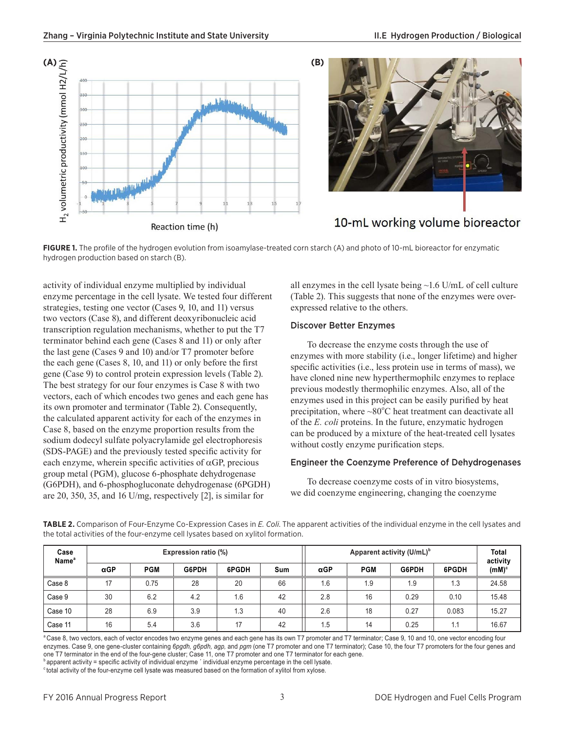



# 10-mL working volume bioreactor

**FIGURE 1.** The profile of the hydrogen evolution from isoamylase-treated corn starch (A) and photo of 10-mL bioreactor for enzymatic hydrogen production based on starch (B).

activity of individual enzyme multiplied by individual enzyme percentage in the cell lysate. We tested four different strategies, testing one vector (Cases 9, 10, and 11) versus two vectors (Case 8), and different deoxyribonucleic acid transcription regulation mechanisms, whether to put the T7 terminator behind each gene (Cases 8 and 11) or only after the last gene (Cases 9 and 10) and/or T7 promoter before the each gene (Cases 8, 10, and 11) or only before the first gene (Case 9) to control protein expression levels (Table 2). The best strategy for our four enzymes is Case 8 with two vectors, each of which encodes two genes and each gene has its own promoter and terminator (Table 2). Consequently, the calculated apparent activity for each of the enzymes in Case 8, based on the enzyme proportion results from the sodium dodecyl sulfate polyacrylamide gel electrophoresis (SDS-PAGE) and the previously tested specific activity for each enzyme, wherein specific activities of  $\alpha$ GP, precious group metal (PGM), glucose 6-phosphate dehydrogenase (G6PDH), and 6-phosphogluconate dehydrogenase (6PGDH) are 20, 350, 35, and 16 U/mg, respectively [2], is similar for

all enzymes in the cell lysate being ~1.6 U/mL of cell culture (Table 2). This suggests that none of the enzymes were overexpressed relative to the others.

#### Discover Better Enzymes

To decrease the enzyme costs through the use of enzymes with more stability (i.e., longer lifetime) and higher specific activities (i.e., less protein use in terms of mass), we have cloned nine new hyperthermophilc enzymes to replace previous modestly thermophilic enzymes. Also, all of the enzymes used in this project can be easily purified by heat precipitation, where  $\sim80^{\circ}$ C heat treatment can deactivate all of the *E. coli* proteins. In the future, enzymatic hydrogen can be produced by a mixture of the heat-treated cell lysates without costly enzyme purification steps.

#### Engineer the Coenzyme Preference of Dehydrogenases

To decrease coenzyme costs of in vitro biosystems, we did coenzyme engineering, changing the coenzyme

| Case<br>Name <sup>a</sup> | Expression ratio (%) |            |       |       |     | Apparent activity (U/mL) <sup>b</sup> |            |       |       | <b>Total</b><br>activity |
|---------------------------|----------------------|------------|-------|-------|-----|---------------------------------------|------------|-------|-------|--------------------------|
|                           | $\alpha$ GP          | <b>PGM</b> | G6PDH | 6PGDH | Sum | $\alpha$ GP                           | <b>PGM</b> | G6PDH | 6PGDH | $(mM)^c$                 |
| Case 8                    | 17                   | 0.75       | 28    | 20    | 66  | 1.6                                   | 1.9        | 1.9   | 1.3   | 24.58                    |
| Case 9                    | 30                   | 6.2        | 4.2   | 1.6   | 42  | 2.8                                   | 16         | 0.29  | 0.10  | 15.48                    |
| Case 10                   | 28                   | 6.9        | 3.9   | 1.3   | 40  | 2.6                                   | 18         | 0.27  | 0.083 | 15.27                    |
| Case 11                   | 16                   | 5.4        | 3.6   | 17    | 42  | 1.5                                   | 14         | 0.25  | 1.1   | 16.67                    |

**TABLE 2.** Comparison of Four-Enzyme Co-Expression Cases in *E. Coli*. The apparent activities of the individual enzyme in the cell lysates and the total activities of the four-enzyme cell lysates based on xylitol formation.

<sup>a</sup> Case 8, two vectors, each of vector encodes two enzyme genes and each gene has its own T7 promoter and T7 terminator; Case 9, 10 and 10, one vector encoding four enzymes. Case 9, one gene-cluster containing *6pgdh, g6pdh, agp,* and *pgm* (one T7 promoter and one T7 terminator); Case 10, the four T7 promoters for the four genes and one T7 terminator in the end of the four-gene cluster; Case 11, one T7 promoter and one T7 terminator for each gene.  $^{\text{b}}$  apparent activity = specific activity of individual enzyme  $\degree$  individual enzyme percentage in the cell lysate.

<sup>c</sup> total activity of the four-enzyme cell lysate was measured based on the formation of xylitol from xylose.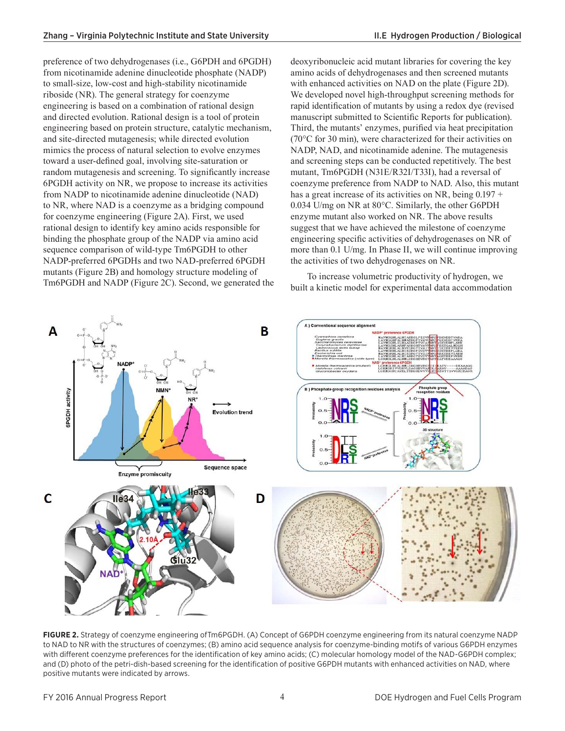preference of two dehydrogenases (i.e., G6PDH and 6PGDH) from nicotinamide adenine dinucleotide phosphate (NADP) to small-size, low-cost and high-stability nicotinamide riboside (NR). The general strategy for coenzyme engineering is based on a combination of rational design and directed evolution. Rational design is a tool of protein engineering based on protein structure, catalytic mechanism, and site-directed mutagenesis; while directed evolution mimics the process of natural selection to evolve enzymes toward a user-defined goal, involving site-saturation or random mutagenesis and screening. To significantly increase 6PGDH activity on NR, we propose to increase its activities from NADP to nicotinamide adenine dinucleotide (NAD) to NR, where NAD is a coenzyme as a bridging compound for coenzyme engineering (Figure 2A). First, we used rational design to identify key amino acids responsible for binding the phosphate group of the NADP via amino acid sequence comparison of wild-type Tm6PGDH to other NADP-preferred 6PGDHs and two NAD-preferred 6PGDH mutants (Figure 2B) and homology structure modeling of Tm6PGDH and NADP (Figure 2C). Second, we generated the deoxyribonucleic acid mutant libraries for covering the key amino acids of dehydrogenases and then screened mutants with enhanced activities on NAD on the plate (Figure 2D). We developed novel high-throughput screening methods for rapid identification of mutants by using a redox dye (revised manuscript submitted to Scientific Reports for publication). Third, the mutants' enzymes, purified via heat precipitation (70°C for 30 min), were characterized for their activities on NADP, NAD, and nicotinamide adenine. The mutagenesis and screening steps can be conducted repetitively. The best mutant, Tm6PGDH (N31E/R32I/T33I), had a reversal of coenzyme preference from NADP to NAD. Also, this mutant has a great increase of its activities on NR, being  $0.197 +$ 0.034 U/mg on NR at 80°C. Similarly, the other G6PDH enzyme mutant also worked on NR. The above results suggest that we have achieved the milestone of coenzyme engineering specific activities of dehydrogenases on NR of more than 0.1 U/mg. In Phase II, we will continue improving the activities of two dehydrogenases on NR.

To increase volumetric productivity of hydrogen, we built a kinetic model for experimental data accommodation



**FIGURE 2.** Strategy of coenzyme engineering ofTm6PGDH. (A) Concept of G6PDH coenzyme engineering from its natural coenzyme NADP to NAD to NR with the structures of coenzymes; (B) amino acid sequence analysis for coenzyme-binding motifs of various G6PDH enzymes with different coenzyme preferences for the identification of key amino acids; (C) molecular homology model of the NAD-G6PDH complex; and (D) photo of the petri-dish-based screening for the identification of positive G6PDH mutants with enhanced activities on NAD, where positive mutants were indicated by arrows.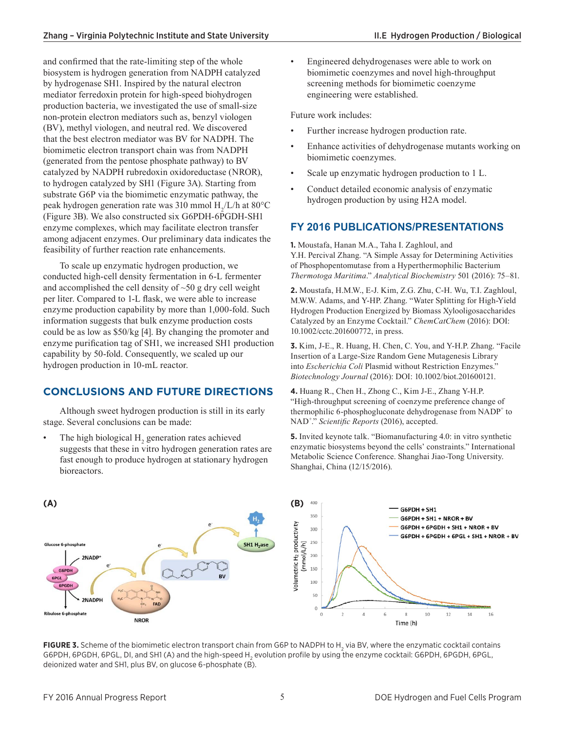and confirmed that the rate-limiting step of the whole biosystem is hydrogen generation from NADPH catalyzed by hydrogenase SH1. Inspired by the natural electron mediator ferredoxin protein for high-speed biohydrogen production bacteria, we investigated the use of small-size non-protein electron mediators such as, benzyl viologen (BV), methyl viologen, and neutral red. We discovered that the best electron mediator was BV for NADPH. The biomimetic electron transport chain was from NADPH (generated from the pentose phosphate pathway) to BV catalyzed by NADPH rubredoxin oxidoreductase (NROR), to hydrogen catalyzed by SH1 (Figure 3A). Starting from substrate G6P via the biomimetic enzymatic pathway, the peak hydrogen generation rate was 310 mmol  $H_2/L/h$  at 80°C (Figure 3B). We also constructed six G6PDH-6PGDH-SH1 enzyme complexes, which may facilitate electron transfer among adjacent enzymes. Our preliminary data indicates the feasibility of further reaction rate enhancements.

To scale up enzymatic hydrogen production, we conducted high-cell density fermentation in 6-L fermenter and accomplished the cell density of ~50 g dry cell weight per liter. Compared to 1-L flask, we were able to increase enzyme production capability by more than 1,000-fold. Such information suggests that bulk enzyme production costs could be as low as \$50/kg [4]. By changing the promoter and enzyme purification tag of SH1, we increased SH1 production capability by 50-fold. Consequently, we scaled up our hydrogen production in 10-mL reactor.

### **CONCLUSIONS AND FUTURE DIRECTIONS**

Although sweet hydrogen production is still in its early stage. Several conclusions can be made:

• The high biological  $H_2$  generation rates achieved suggests that these in vitro hydrogen generation rates are fast enough to produce hydrogen at stationary hydrogen bioreactors.

Engineered dehydrogenases were able to work on biomimetic coenzymes and novel high-throughput screening methods for biomimetic coenzyme engineering were established.

Future work includes:

- Further increase hydrogen production rate.
- Enhance activities of dehydrogenase mutants working on biomimetic coenzymes.
- Scale up enzymatic hydrogen production to 1 L.
- Conduct detailed economic analysis of enzymatic hydrogen production by using H2A model.

### **FY 2016 PUBLICATIONS/PRESENTATIONS**

**1.** Moustafa, Hanan M.A., Taha I. Zaghloul, and Y.H. Percival Zhang. "A Simple Assay for Determining Activities of Phosphopentomutase from a Hyperthermophilic Bacterium *Thermotoga Maritima*." *Analytical Biochemistry* 501 (2016): 75–81.

**2.** Moustafa, H.M.W., E-J. Kim, Z.G. Zhu, C-H. Wu, T.I. Zaghloul, M.W.W. Adams, and Y-HP. Zhang. "Water Splitting for High-Yield Hydrogen Production Energized by Biomass Xylooligosaccharides Catalyzed by an Enzyme Cocktail." *ChemCatChem* (2016): DOI: 10.1002/cctc.201600772, in press.

**3.** Kim, J-E., R. Huang, H. Chen, C. You, and Y-H.P. Zhang. "Facile Insertion of a Large-Size Random Gene Mutagenesis Library into *Escherichia Coli* Plasmid without Restriction Enzymes." *Biotechnology Journal* (2016): DOI: 10.1002/biot.201600121.

**4.** Huang R., Chen H., Zhong C., Kim J-E., Zhang Y-H.P. "High-throughput screening of coenzyme preference change of thermophilic 6-phosphogluconate dehydrogenase from NADP<sup>+</sup> to NAD<sup>+</sup> ." *Scientific Reports* (2016), accepted.

**5.** Invited keynote talk. "Biomanufacturing 4.0: in vitro synthetic enzymatic biosystems beyond the cells' constraints." International Metabolic Science Conference. Shanghai Jiao-Tong University. Shanghai, China (12/15/2016).